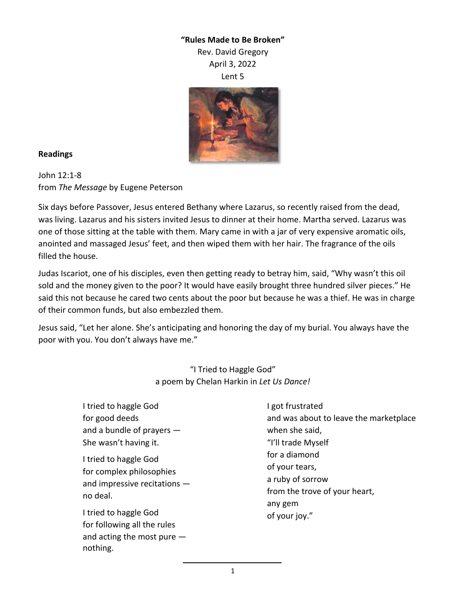## **"Rules Made to Be Broken"**

Rev. David Gregory April 3, 2022

Lent 5



## **Readings**

John 12:1-8 from *The Message* by Eugene Peterson

Six days before Passover, Jesus entered Bethany where Lazarus, so recently raised from the dead, was living. Lazarus and his sisters invited Jesus to dinner at their home. Martha served. Lazarus was one of those sitting at the table with them. Mary came in with a jar of very expensive aromatic oils, anointed and massaged Jesus' feet, and then wiped them with her hair. The fragrance of the oils filled the house.

Judas Iscariot, one of his disciples, even then getting ready to betray him, said, "Why wasn't this oil sold and the money given to the poor? It would have easily brought three hundred silver pieces." He said this not because he cared two cents about the poor but because he was a thief. He was in charge of their common funds, but also embezzled them.

Jesus said, "Let her alone. She's anticipating and honoring the day of my burial. You always have the poor with you. You don't always have me."

> "I Tried to Haggle God" a poem by Chelan Harkin in *Let Us Dance!*

| I tried to haggle God                                                                           | I got frustrated                         |
|-------------------------------------------------------------------------------------------------|------------------------------------------|
| for good deeds                                                                                  | and was about to leave the marketplace   |
| and a bundle of prayers $-$                                                                     | when she said,                           |
| She wasn't having it.                                                                           | "I'll trade Myself                       |
| I tried to haggle God<br>for complex philosophies<br>and impressive recitations $-$<br>no deal. | for a diamond<br>of your tears,          |
|                                                                                                 | a ruby of sorrow                         |
|                                                                                                 | from the trove of your heart,<br>any gem |
| I tried to haggle God                                                                           | of your joy."                            |
| for following all the rules                                                                     |                                          |
| and acting the most pure $-$<br>nothing.                                                        |                                          |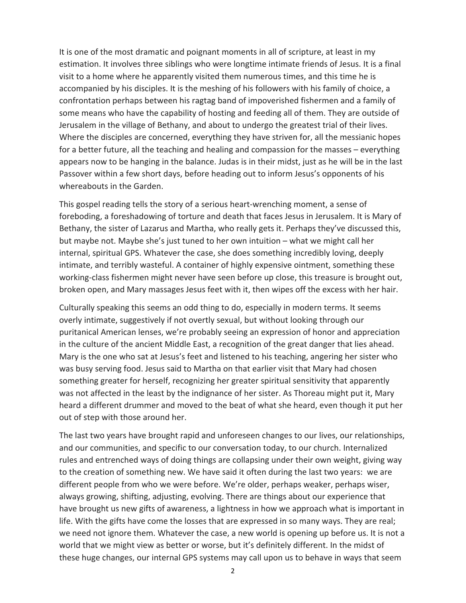It is one of the most dramatic and poignant moments in all of scripture, at least in my estimation. It involves three siblings who were longtime intimate friends of Jesus. It is a final visit to a home where he apparently visited them numerous times, and this time he is accompanied by his disciples. It is the meshing of his followers with his family of choice, a confrontation perhaps between his ragtag band of impoverished fishermen and a family of some means who have the capability of hosting and feeding all of them. They are outside of Jerusalem in the village of Bethany, and about to undergo the greatest trial of their lives. Where the disciples are concerned, everything they have striven for, all the messianic hopes for a better future, all the teaching and healing and compassion for the masses – everything appears now to be hanging in the balance. Judas is in their midst, just as he will be in the last Passover within a few short days, before heading out to inform Jesus's opponents of his whereabouts in the Garden.

This gospel reading tells the story of a serious heart-wrenching moment, a sense of foreboding, a foreshadowing of torture and death that faces Jesus in Jerusalem. It is Mary of Bethany, the sister of Lazarus and Martha, who really gets it. Perhaps they've discussed this, but maybe not. Maybe she's just tuned to her own intuition – what we might call her internal, spiritual GPS. Whatever the case, she does something incredibly loving, deeply intimate, and terribly wasteful. A container of highly expensive ointment, something these working-class fishermen might never have seen before up close, this treasure is brought out, broken open, and Mary massages Jesus feet with it, then wipes off the excess with her hair.

Culturally speaking this seems an odd thing to do, especially in modern terms. It seems overly intimate, suggestively if not overtly sexual, but without looking through our puritanical American lenses, we're probably seeing an expression of honor and appreciation in the culture of the ancient Middle East, a recognition of the great danger that lies ahead. Mary is the one who sat at Jesus's feet and listened to his teaching, angering her sister who was busy serving food. Jesus said to Martha on that earlier visit that Mary had chosen something greater for herself, recognizing her greater spiritual sensitivity that apparently was not affected in the least by the indignance of her sister. As Thoreau might put it, Mary heard a different drummer and moved to the beat of what she heard, even though it put her out of step with those around her.

The last two years have brought rapid and unforeseen changes to our lives, our relationships, and our communities, and specific to our conversation today, to our church. Internalized rules and entrenched ways of doing things are collapsing under their own weight, giving way to the creation of something new. We have said it often during the last two years: we are different people from who we were before. We're older, perhaps weaker, perhaps wiser, always growing, shifting, adjusting, evolving. There are things about our experience that have brought us new gifts of awareness, a lightness in how we approach what is important in life. With the gifts have come the losses that are expressed in so many ways. They are real; we need not ignore them. Whatever the case, a new world is opening up before us. It is not a world that we might view as better or worse, but it's definitely different. In the midst of these huge changes, our internal GPS systems may call upon us to behave in ways that seem